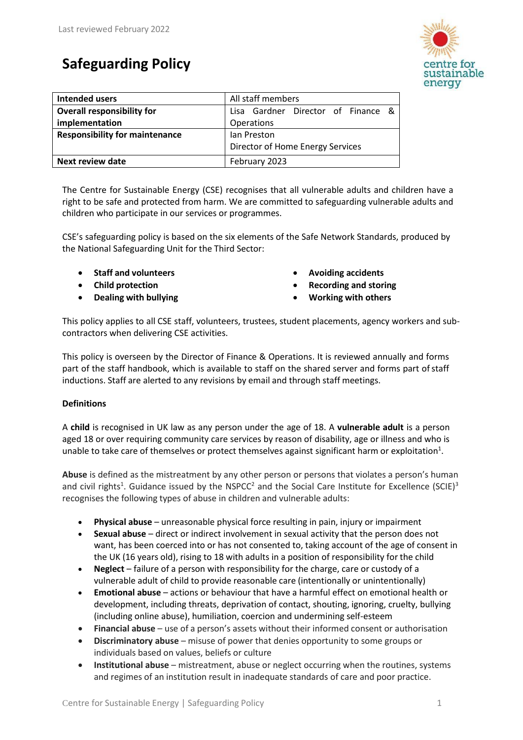# **Safeguarding Policy**



| Intended users                        | All staff members                  |
|---------------------------------------|------------------------------------|
| <b>Overall responsibility for</b>     | Lisa Gardner Director of Finance & |
| implementation                        | Operations                         |
| <b>Responsibility for maintenance</b> | lan Preston                        |
|                                       | Director of Home Energy Services   |
| <b>Next review date</b>               | February 2023                      |

The Centre for Sustainable Energy (CSE) recognises that all vulnerable adults and children have a right to be safe and protected from harm. We are committed to safeguarding vulnerable adults and children who participate in our services or programmes.

CSE's safeguarding policy is based on the six elements of the Safe Network Standards, produced by the National Safeguarding Unit for the Third Sector:

- **Staff and volunteers**
- **Child protection**
- **Dealing with bullying**
- **Avoiding accidents**
- **Recording and storing**
- **Working with others**

This policy applies to all CSE staff, volunteers, trustees, student placements, agency workers and subcontractors when delivering CSE activities.

This policy is overseen by the Director of Finance & Operations. It is reviewed annually and forms part of the staff handbook, which is available to staff on the shared server and forms part of staff inductions. Staff are alerted to any revisions by email and through staff meetings.

# **Definitions**

A **child** is recognised in UK law as any person under the age of 18. A **vulnerable adult** is a person aged 18 or over requiring community care services by reason of disability, age or illness and who is unable to take care of themselves or protect themselves against significant harm or exploitation<sup>1</sup>.

**Abuse** is defined as the mistreatment by any other person or persons that violates a person's human and civil rights<sup>1</sup>. Guidance issued by the NSPCC<sup>2</sup> and the Social Care Institute for Excellence (SCIE)<sup>3</sup> recognises the following types of abuse in children and vulnerable adults:

- **Physical abuse** unreasonable physical force resulting in pain, injury or impairment
- **Sexual abuse**  direct or indirect involvement in sexual activity that the person does not want, has been coerced into or has not consented to, taking account of the age of consent in the UK (16 years old), rising to 18 with adults in a position of responsibility for the child
- **Neglect**  failure of a person with responsibility for the charge, care or custody of a vulnerable adult of child to provide reasonable care (intentionally or unintentionally)
- **Emotional abuse**  actions or behaviour that have a harmful effect on emotional health or development, including threats, deprivation of contact, shouting, ignoring, cruelty, bullying (including online abuse), humiliation, coercion and undermining self-esteem
- **Financial abuse** use of a person's assets without their informed consent or authorisation
- **Discriminatory abuse**  misuse of power that denies opportunity to some groups or individuals based on values, beliefs or culture
- **Institutional abuse** mistreatment, abuse or neglect occurring when the routines, systems and regimes of an institution result in inadequate standards of care and poor practice.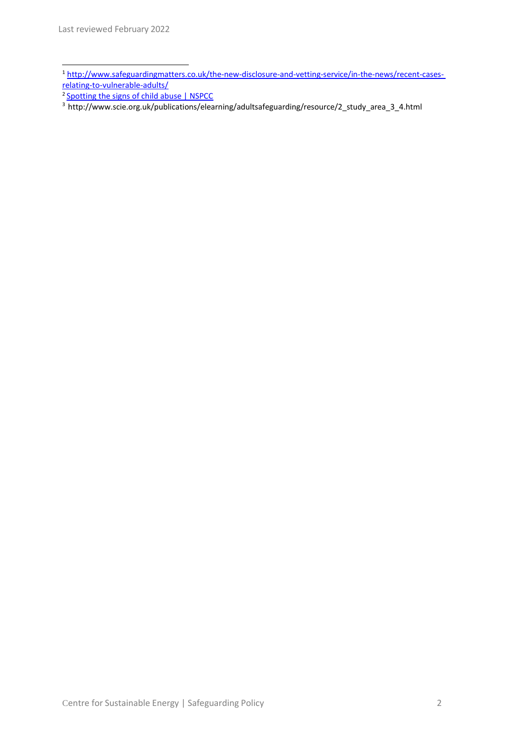- <sup>1</sup> [http://www.safeguardingmatters.co.uk/the-new-disclosure-and-vetting-service/in-the-news/recent-cases](http://www.safeguardingmatters.co.uk/the-new-disclosure-and-vetting-service/in-the-news/recent-cases-%20relating-to-vulnerable-adults/)[relating-to-vulnerable-adults/](http://www.safeguardingmatters.co.uk/the-new-disclosure-and-vetting-service/in-the-news/recent-cases-%20relating-to-vulnerable-adults/)
- <sup>2</sup> [Spotting the signs of child abuse | NSPCC](https://www.nspcc.org.uk/what-is-child-abuse/spotting-signs-child-abuse/)
- <sup>3</sup> [http://www.scie.org.uk/publications/elearning/adultsafeguarding/resource/2\\_study\\_area\\_3\\_4.html](http://www.scie.org.uk/publications/elearning/adultsafeguarding/resource/2_study_area_3_4.html)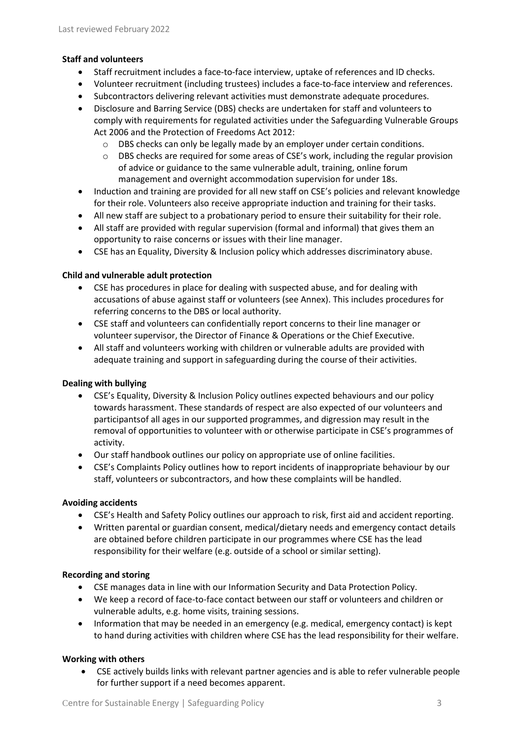## **Staff and volunteers**

- Staff recruitment includes a face-to-face interview, uptake of references and ID checks.
- Volunteer recruitment (including trustees) includes a face-to-face interview and references.
- Subcontractors delivering relevant activities must demonstrate adequate procedures.
- Disclosure and Barring Service (DBS) checks are undertaken for staff and volunteers to comply with requirements for regulated activities under the Safeguarding Vulnerable Groups Act 2006 and the Protection of Freedoms Act 2012:
	- $\circ$  DBS checks can only be legally made by an employer under certain conditions.
	- $\circ$  DBS checks are required for some areas of CSE's work, including the regular provision of advice or guidance to the same vulnerable adult, training, online forum management and overnight accommodation supervision for under 18s.
- Induction and training are provided for all new staff on CSE's policies and relevant knowledge for their role. Volunteers also receive appropriate induction and training for their tasks.
- All new staff are subject to a probationary period to ensure their suitability for their role.
- All staff are provided with regular supervision (formal and informal) that gives them an opportunity to raise concerns or issues with their line manager.
- CSE has an Equality, Diversity & Inclusion policy which addresses discriminatory abuse.

### **Child and vulnerable adult protection**

- CSE has procedures in place for dealing with suspected abuse, and for dealing with accusations of abuse against staff or volunteers (see Annex). This includes procedures for referring concerns to the DBS or local authority.
- CSE staff and volunteers can confidentially report concerns to their line manager or volunteer supervisor, the Director of Finance & Operations or the Chief Executive.
- All staff and volunteers working with children or vulnerable adults are provided with adequate training and support in safeguarding during the course of their activities.

# **Dealing with bullying**

- CSE's Equality, Diversity & Inclusion Policy outlines expected behaviours and our policy towards harassment. These standards of respect are also expected of our volunteers and participantsof all ages in our supported programmes, and digression may result in the removal of opportunities to volunteer with or otherwise participate in CSE's programmes of activity.
- Our staff handbook outlines our policy on appropriate use of online facilities.
- CSE's Complaints Policy outlines how to report incidents of inappropriate behaviour by our staff, volunteers or subcontractors, and how these complaints will be handled.

#### **Avoiding accidents**

- CSE's Health and Safety Policy outlines our approach to risk, first aid and accident reporting.
- Written parental or guardian consent, medical/dietary needs and emergency contact details are obtained before children participate in our programmes where CSE has the lead responsibility for their welfare (e.g. outside of a school or similar setting).

#### **Recording and storing**

- CSE manages data in line with our Information Security and Data Protection Policy.
- We keep a record of face-to-face contact between our staff or volunteers and children or vulnerable adults, e.g. home visits, training sessions.
- Information that may be needed in an emergency (e.g. medical, emergency contact) is kept to hand during activities with children where CSE has the lead responsibility for their welfare.

# **Working with others**

• CSE actively builds links with relevant partner agencies and is able to refer vulnerable people for further support if a need becomes apparent.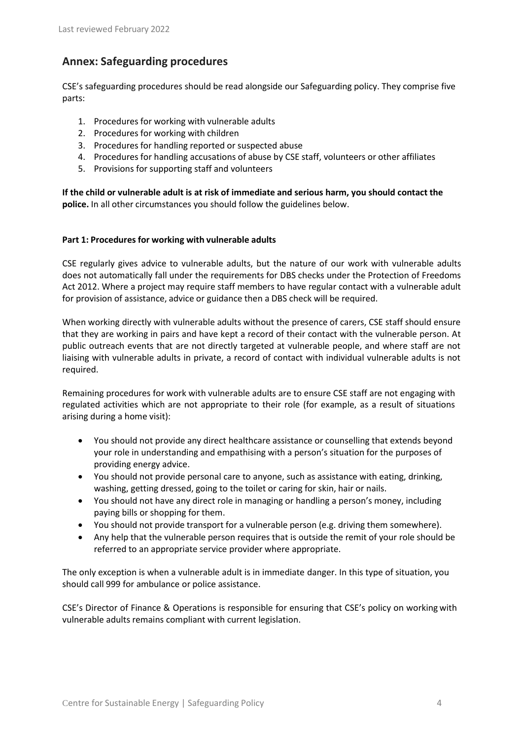# **Annex: Safeguarding procedures**

CSE's safeguarding procedures should be read alongside our Safeguarding policy. They comprise five parts:

- 1. Procedures for working with vulnerable adults
- 2. Procedures for working with children
- 3. Procedures for handling reported or suspected abuse
- 4. Procedures for handling accusations of abuse by CSE staff, volunteers or other affiliates
- 5. Provisions for supporting staff and volunteers

**If the child or vulnerable adult is at risk of immediate and serious harm, you should contact the police.** In all other circumstances you should follow the guidelines below.

### **Part 1: Procedures for working with vulnerable adults**

CSE regularly gives advice to vulnerable adults, but the nature of our work with vulnerable adults does not automatically fall under the requirements for DBS checks under the Protection of Freedoms Act 2012. Where a project may require staff members to have regular contact with a vulnerable adult for provision of assistance, advice or guidance then a DBS check will be required.

When working directly with vulnerable adults without the presence of carers, CSE staff should ensure that they are working in pairs and have kept a record of their contact with the vulnerable person. At public outreach events that are not directly targeted at vulnerable people, and where staff are not liaising with vulnerable adults in private, a record of contact with individual vulnerable adults is not required.

Remaining procedures for work with vulnerable adults are to ensure CSE staff are not engaging with regulated activities which are not appropriate to their role (for example, as a result of situations arising during a home visit):

- You should not provide any direct healthcare assistance or counselling that extends beyond your role in understanding and empathising with a person's situation for the purposes of providing energy advice.
- You should not provide personal care to anyone, such as assistance with eating, drinking, washing, getting dressed, going to the toilet or caring for skin, hair or nails.
- You should not have any direct role in managing or handling a person's money, including paying bills or shopping for them.
- You should not provide transport for a vulnerable person (e.g. driving them somewhere).
- Any help that the vulnerable person requires that is outside the remit of your role should be referred to an appropriate service provider where appropriate.

The only exception is when a vulnerable adult is in immediate danger. In this type of situation, you should call 999 for ambulance or police assistance.

CSE's Director of Finance & Operations is responsible for ensuring that CSE's policy on working with vulnerable adults remains compliant with current legislation.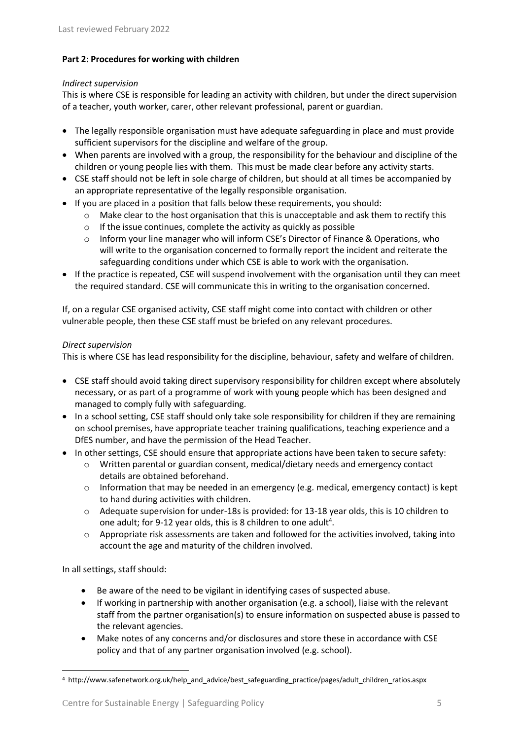# **Part 2: Procedures for working with children**

#### *Indirect supervision*

This is where CSE is responsible for leading an activity with children, but under the direct supervision of a teacher, youth worker, carer, other relevant professional, parent or guardian.

- The legally responsible organisation must have adequate safeguarding in place and must provide sufficient supervisors for the discipline and welfare of the group.
- When parents are involved with a group, the responsibility for the behaviour and discipline of the children or young people lies with them. This must be made clear before any activity starts.
- CSE staff should not be left in sole charge of children, but should at all times be accompanied by an appropriate representative of the legally responsible organisation.
- If you are placed in a position that falls below these requirements, you should:
	- o Make clear to the host organisation that this is unacceptable and ask them to rectify this
	- $\circ$  If the issue continues, complete the activity as quickly as possible
	- o Inform your line manager who will inform CSE's Director of Finance & Operations, who will write to the organisation concerned to formally report the incident and reiterate the safeguarding conditions under which CSE is able to work with the organisation.
- If the practice is repeated, CSE will suspend involvement with the organisation until they can meet the required standard. CSE will communicate this in writing to the organisation concerned.

If, on a regular CSE organised activity, CSE staff might come into contact with children or other vulnerable people, then these CSE staff must be briefed on any relevant procedures.

#### *Direct supervision*

This is where CSE has lead responsibility for the discipline, behaviour, safety and welfare of children.

- CSE staff should avoid taking direct supervisory responsibility for children except where absolutely necessary, or as part of a programme of work with young people which has been designed and managed to comply fully with safeguarding.
- In a school setting, CSE staff should only take sole responsibility for children if they are remaining on school premises, have appropriate teacher training qualifications, teaching experience and a DfES number, and have the permission of the Head Teacher.
- In other settings, CSE should ensure that appropriate actions have been taken to secure safety:
	- o Written parental or guardian consent, medical/dietary needs and emergency contact details are obtained beforehand.
	- $\circ$  Information that may be needed in an emergency (e.g. medical, emergency contact) is kept to hand during activities with children.
	- o Adequate supervision for under-18s is provided: for 13-18 year olds, this is 10 children to one adult; for 9-12 year olds, this is 8 children to one adult<sup>4</sup>.
	- $\circ$  Appropriate risk assessments are taken and followed for the activities involved, taking into account the age and maturity of the children involved.

In all settings, staff should:

- Be aware of the need to be vigilant in identifying cases of suspected abuse.
- If working in partnership with another organisation (e.g. a school), liaise with the relevant staff from the partner organisation(s) to ensure information on suspected abuse is passed to the relevant agencies.
- Make notes of any concerns and/or disclosures and store these in accordance with CSE policy and that of any partner organisation involved (e.g. school).

<sup>4</sup> [http://www.safenetwork.org.uk/help\\_and\\_advice/best\\_safeguarding\\_practice/pages/adult\\_children\\_ratios.aspx](http://www.safenetwork.org.uk/help_and_advice/best_safeguarding_practice/pages/adult_children_ratios.aspx)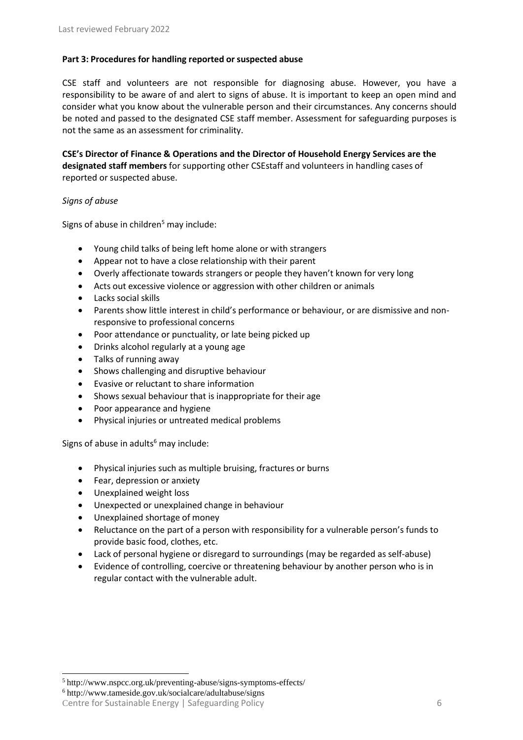# **Part 3: Procedures for handling reported or suspected abuse**

CSE staff and volunteers are not responsible for diagnosing abuse. However, you have a responsibility to be aware of and alert to signs of abuse. It is important to keep an open mind and consider what you know about the vulnerable person and their circumstances. Any concerns should be noted and passed to the designated CSE staff member. Assessment for safeguarding purposes is not the same as an assessment for criminality.

**CSE's Director of Finance & Operations and the Director of Household Energy Services are the designated staff members** for supporting other CSEstaff and volunteers in handling cases of reported or suspected abuse.

### *Signs of abuse*

Signs of abuse in children<sup>5</sup> may include:

- Young child talks of being left home alone or with strangers
- Appear not to have a close relationship with their parent
- Overly affectionate towards strangers or people they haven't known for very long
- Acts out excessive violence or aggression with other children or animals
- Lacks social skills
- Parents show little interest in child's performance or behaviour, or are dismissive and nonresponsive to professional concerns
- Poor attendance or punctuality, or late being picked up
- Drinks alcohol regularly at a young age
- Talks of running away
- Shows challenging and disruptive behaviour
- Evasive or reluctant to share information
- Shows sexual behaviour that is inappropriate for their age
- Poor appearance and hygiene
- Physical injuries or untreated medical problems

Signs of abuse in adults $6$  may include:

- Physical injuries such as multiple bruising, fractures or burns
- Fear, depression or anxiety
- Unexplained weight loss
- Unexpected or unexplained change in behaviour
- Unexplained shortage of money
- Reluctance on the part of a person with responsibility for a vulnerable person's funds to provide basic food, clothes, etc.
- Lack of personal hygiene or disregard to surroundings (may be regarded as self-abuse)
- Evidence of controlling, coercive or threatening behaviour by another person who is in regular contact with the vulnerable adult.

<sup>6</sup> <http://www.tameside.gov.uk/socialcare/adultabuse/signs>

<sup>5</sup> <http://www.nspcc.org.uk/preventing-abuse/signs-symptoms-effects/>

Centre for Sustainable Energy | Safeguarding Policy 6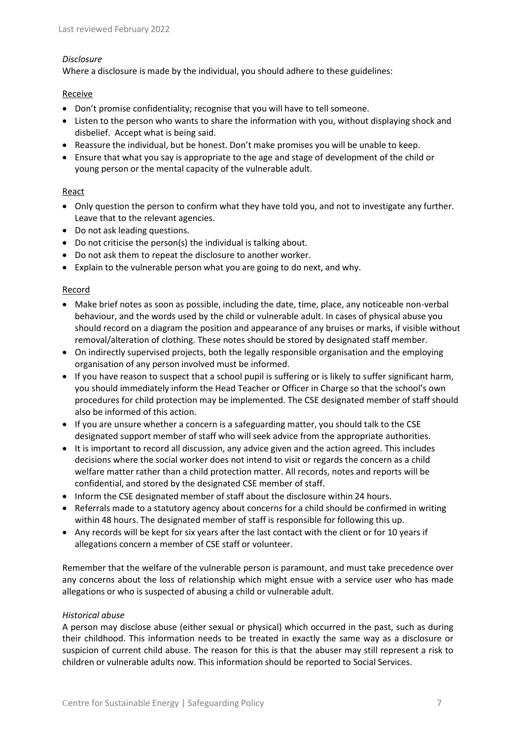#### *Disclosure*

Where a disclosure is made by the individual, you should adhere to these guidelines:

#### Receive

- Don't promise confidentiality; recognise that you will have to tell someone.
- Listen to the person who wants to share the information with you, without displaying shock and disbelief. Accept what is being said.
- Reassure the individual, but be honest. Don't make promises you will be unable to keep.
- Ensure that what you say is appropriate to the age and stage of development of the child or young person or the mental capacity of the vulnerable adult.

# **React**

- Only question the person to confirm what they have told you, and not to investigate any further. Leave that to the relevant agencies.
- Do not ask leading questions.
- Do not criticise the person(s) the individual is talking about.
- Do not ask them to repeat the disclosure to another worker.
- Explain to the vulnerable person what you are going to do next, and why.

### Record

- Make brief notes as soon as possible, including the date, time, place, any noticeable non-verbal behaviour, and the words used by the child or vulnerable adult. In cases of physical abuse you should record on a diagram the position and appearance of any bruises or marks, if visible without removal/alteration of clothing. These notes should be stored by designated staff member.
- On indirectly supervised projects, both the legally responsible organisation and the employing organisation of any person involved must be informed.
- If you have reason to suspect that a school pupil is suffering or is likely to suffer significant harm, you should immediately inform the Head Teacher or Officer in Charge so that the school's own procedures for child protection may be implemented. The CSE designated member of staff should also be informed of this action.
- If you are unsure whether a concern is a safeguarding matter, you should talk to the CSE designated support member of staff who will seek advice from the appropriate authorities.
- It is important to record all discussion, any advice given and the action agreed. This includes decisions where the social worker does not intend to visit or regards the concern as a child welfare matter rather than a child protection matter. All records, notes and reports will be confidential, and stored by the designated CSE member of staff.
- Inform the CSE designated member of staff about the disclosure within 24 hours.
- Referrals made to a statutory agency about concerns for a child should be confirmed in writing within 48 hours. The designated member of staff is responsible for following this up.
- Any records will be kept for six years after the last contact with the client or for 10 years if allegations concern a member of CSE staff or volunteer.

Remember that the welfare of the vulnerable person is paramount, and must take precedence over any concerns about the loss of relationship which might ensue with a service user who has made allegations or who is suspected of abusing a child or vulnerable adult.

#### *Historical abuse*

A person may disclose abuse (either sexual or physical) which occurred in the past, such as during their childhood. This information needs to be treated in exactly the same way as a disclosure or suspicion of current child abuse. The reason for this is that the abuser may still represent a risk to children or vulnerable adults now. This information should be reported to Social Services.